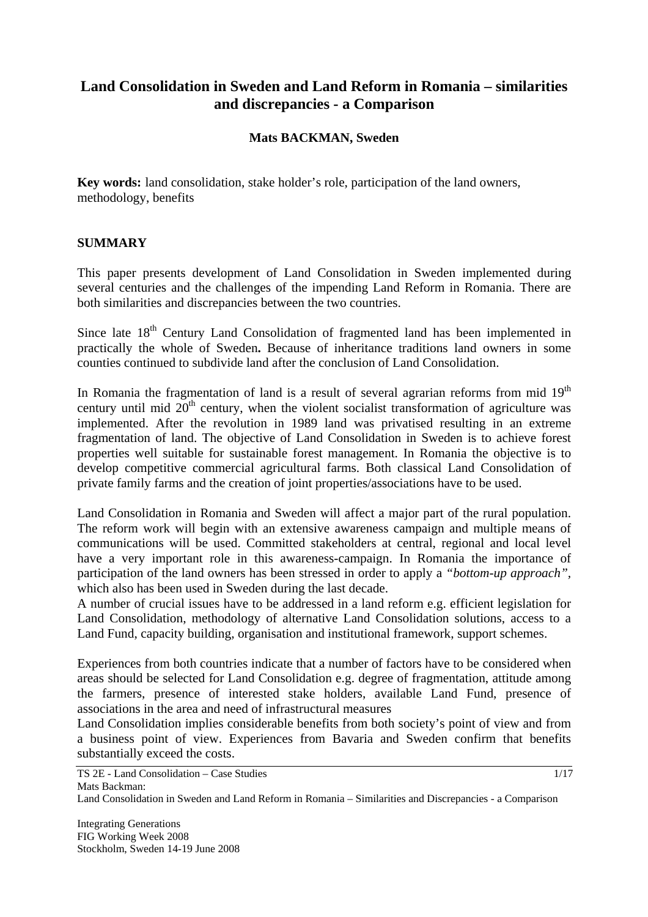# **Land Consolidation in Sweden and Land Reform in Romania – similarities and discrepancies - a Comparison**

#### **Mats BACKMAN, Sweden**

**Key words:** land consolidation, stake holder's role, participation of the land owners, methodology, benefits

#### **SUMMARY**

This paper presents development of Land Consolidation in Sweden implemented during several centuries and the challenges of the impending Land Reform in Romania. There are both similarities and discrepancies between the two countries.

Since late  $18<sup>th</sup>$  Century Land Consolidation of fragmented land has been implemented in practically the whole of Sweden**.** Because of inheritance traditions land owners in some counties continued to subdivide land after the conclusion of Land Consolidation.

In Romania the fragmentation of land is a result of several agrarian reforms from mid  $19<sup>th</sup>$ century until mid  $20<sup>th</sup>$  century, when the violent socialist transformation of agriculture was implemented. After the revolution in 1989 land was privatised resulting in an extreme fragmentation of land. The objective of Land Consolidation in Sweden is to achieve forest properties well suitable for sustainable forest management. In Romania the objective is to develop competitive commercial agricultural farms. Both classical Land Consolidation of private family farms and the creation of joint properties/associations have to be used.

Land Consolidation in Romania and Sweden will affect a major part of the rural population. The reform work will begin with an extensive awareness campaign and multiple means of communications will be used. Committed stakeholders at central, regional and local level have a very important role in this awareness-campaign. In Romania the importance of participation of the land owners has been stressed in order to apply a *"bottom-up approach",*  which also has been used in Sweden during the last decade.

A number of crucial issues have to be addressed in a land reform e.g. efficient legislation for Land Consolidation, methodology of alternative Land Consolidation solutions, access to a Land Fund, capacity building, organisation and institutional framework, support schemes.

Experiences from both countries indicate that a number of factors have to be considered when areas should be selected for Land Consolidation e.g. degree of fragmentation, attitude among the farmers, presence of interested stake holders, available Land Fund, presence of associations in the area and need of infrastructural measures

Land Consolidation implies considerable benefits from both society's point of view and from a business point of view. Experiences from Bavaria and Sweden confirm that benefits substantially exceed the costs.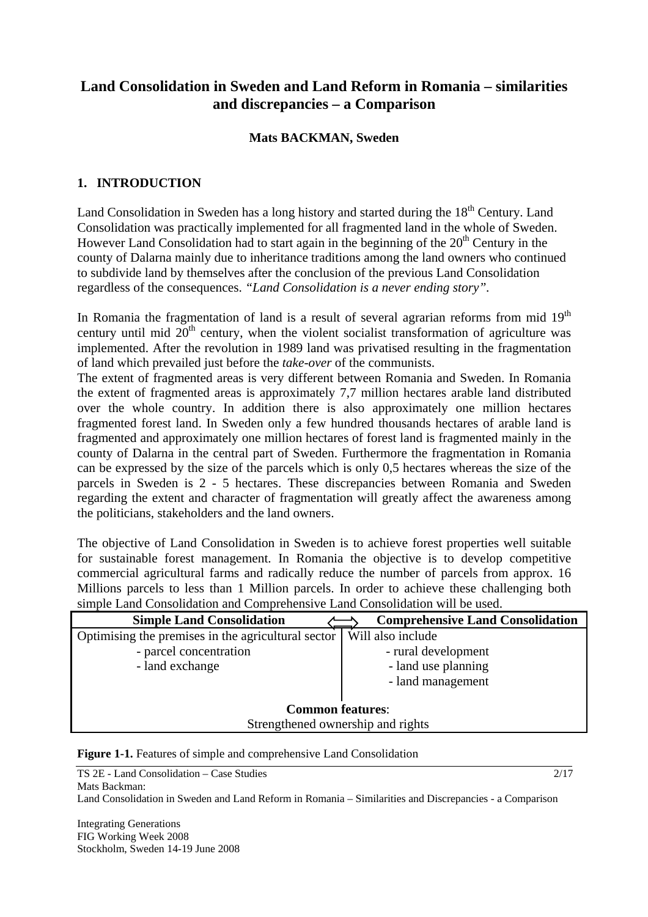# **Land Consolidation in Sweden and Land Reform in Romania – similarities and discrepancies – a Comparison**

#### **Mats BACKMAN, Sweden**

### **1. INTRODUCTION**

Land Consolidation in Sweden has a long history and started during the 18<sup>th</sup> Century. Land Consolidation was practically implemented for all fragmented land in the whole of Sweden. However Land Consolidation had to start again in the beginning of the 20<sup>th</sup> Century in the county of Dalarna mainly due to inheritance traditions among the land owners who continued to subdivide land by themselves after the conclusion of the previous Land Consolidation regardless of the consequences. *"Land Consolidation is a never ending story".*

In Romania the fragmentation of land is a result of several agrarian reforms from mid  $19<sup>th</sup>$ century until mid  $20<sup>th</sup>$  century, when the violent socialist transformation of agriculture was implemented. After the revolution in 1989 land was privatised resulting in the fragmentation of land which prevailed just before the *take-over* of the communists.

The extent of fragmented areas is very different between Romania and Sweden. In Romania the extent of fragmented areas is approximately 7,7 million hectares arable land distributed over the whole country. In addition there is also approximately one million hectares fragmented forest land. In Sweden only a few hundred thousands hectares of arable land is fragmented and approximately one million hectares of forest land is fragmented mainly in the county of Dalarna in the central part of Sweden. Furthermore the fragmentation in Romania can be expressed by the size of the parcels which is only 0,5 hectares whereas the size of the parcels in Sweden is 2 - 5 hectares. These discrepancies between Romania and Sweden regarding the extent and character of fragmentation will greatly affect the awareness among the politicians, stakeholders and the land owners.

The objective of Land Consolidation in Sweden is to achieve forest properties well suitable for sustainable forest management. In Romania the objective is to develop competitive commercial agricultural farms and radically reduce the number of parcels from approx. 16 Millions parcels to less than 1 Million parcels. In order to achieve these challenging both simple Land Consolidation and Comprehensive Land Consolidation will be used.

| <b>Simple Land Consolidation</b>                   | <b>Comprehensive Land Consolidation</b> |  |  |
|----------------------------------------------------|-----------------------------------------|--|--|
| Optimising the premises in the agricultural sector | Will also include                       |  |  |
| - parcel concentration                             | - rural development                     |  |  |
| - land exchange                                    | - land use planning                     |  |  |
|                                                    | - land management                       |  |  |
|                                                    |                                         |  |  |
| <b>Common features:</b>                            |                                         |  |  |
| Strengthened ownership and rights                  |                                         |  |  |

**Figure 1-1.** Features of simple and comprehensive Land Consolidation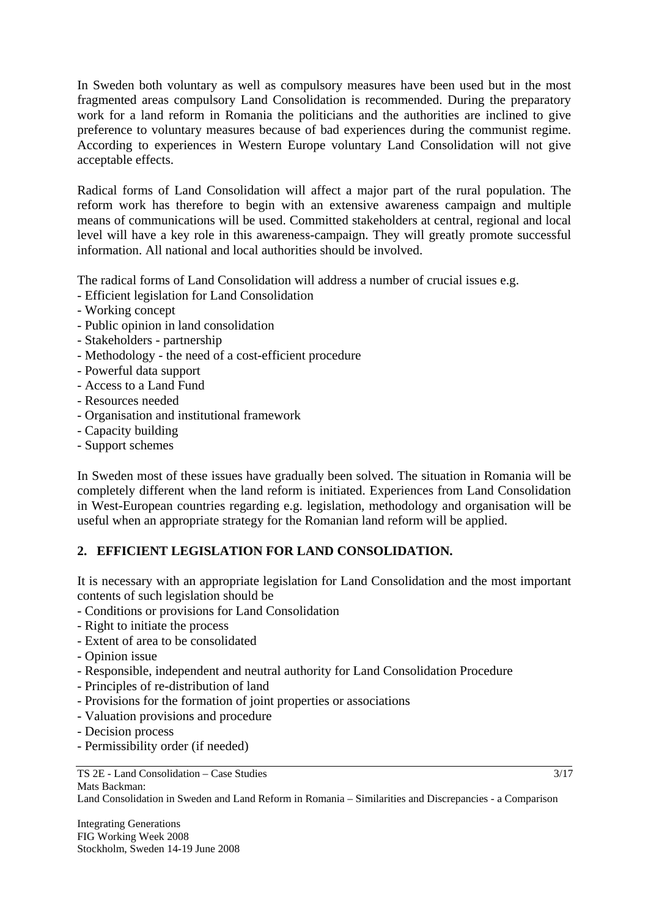In Sweden both voluntary as well as compulsory measures have been used but in the most fragmented areas compulsory Land Consolidation is recommended. During the preparatory work for a land reform in Romania the politicians and the authorities are inclined to give preference to voluntary measures because of bad experiences during the communist regime. According to experiences in Western Europe voluntary Land Consolidation will not give acceptable effects.

Radical forms of Land Consolidation will affect a major part of the rural population. The reform work has therefore to begin with an extensive awareness campaign and multiple means of communications will be used. Committed stakeholders at central, regional and local level will have a key role in this awareness-campaign. They will greatly promote successful information. All national and local authorities should be involved.

The radical forms of Land Consolidation will address a number of crucial issues e.g.

- Efficient legislation for Land Consolidation
- Working concept
- Public opinion in land consolidation
- Stakeholders partnership
- Methodology the need of a cost-efficient procedure
- Powerful data support
- Access to a Land Fund
- Resources needed
- Organisation and institutional framework
- Capacity building
- Support schemes

In Sweden most of these issues have gradually been solved. The situation in Romania will be completely different when the land reform is initiated. Experiences from Land Consolidation in West-European countries regarding e.g. legislation, methodology and organisation will be useful when an appropriate strategy for the Romanian land reform will be applied.

### **2. EFFICIENT LEGISLATION FOR LAND CONSOLIDATION.**

It is necessary with an appropriate legislation for Land Consolidation and the most important contents of such legislation should be

- Conditions or provisions for Land Consolidation
- Right to initiate the process
- Extent of area to be consolidated
- Opinion issue
- Responsible, independent and neutral authority for Land Consolidation Procedure
- Principles of re-distribution of land
- Provisions for the formation of joint properties or associations
- Valuation provisions and procedure
- Decision process
- Permissibility order (if needed)

Land Consolidation in Sweden and Land Reform in Romania – Similarities and Discrepancies - a Comparison

3/17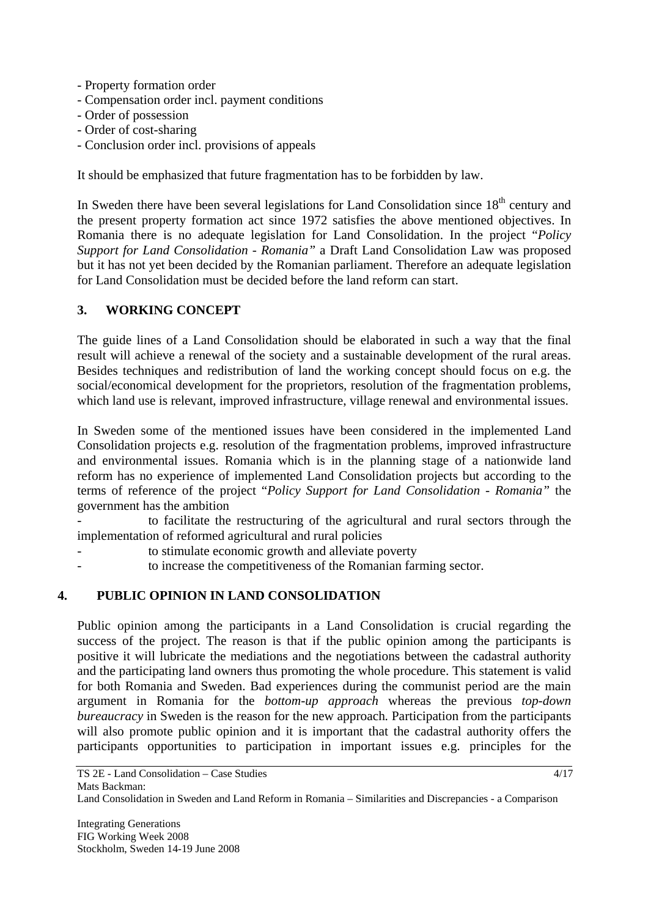- Property formation order
- Compensation order incl. payment conditions
- Order of possession
- Order of cost-sharing
- Conclusion order incl. provisions of appeals

It should be emphasized that future fragmentation has to be forbidden by law.

In Sweden there have been several legislations for Land Consolidation since  $18<sup>th</sup>$  century and the present property formation act since 1972 satisfies the above mentioned objectives. In Romania there is no adequate legislation for Land Consolidation. In the project "*Policy Support for Land Consolidation - Romania"* a Draft Land Consolidation Law was proposed but it has not yet been decided by the Romanian parliament. Therefore an adequate legislation for Land Consolidation must be decided before the land reform can start.

### **3. WORKING CONCEPT**

The guide lines of a Land Consolidation should be elaborated in such a way that the final result will achieve a renewal of the society and a sustainable development of the rural areas. Besides techniques and redistribution of land the working concept should focus on e.g. the social/economical development for the proprietors, resolution of the fragmentation problems, which land use is relevant, improved infrastructure, village renewal and environmental issues.

In Sweden some of the mentioned issues have been considered in the implemented Land Consolidation projects e.g. resolution of the fragmentation problems, improved infrastructure and environmental issues. Romania which is in the planning stage of a nationwide land reform has no experience of implemented Land Consolidation projects but according to the terms of reference of the project "*Policy Support for Land Consolidation - Romania"* the government has the ambition

to facilitate the restructuring of the agricultural and rural sectors through the implementation of reformed agricultural and rural policies

- to stimulate economic growth and alleviate poverty
- to increase the competitiveness of the Romanian farming sector.

### **4. PUBLIC OPINION IN LAND CONSOLIDATION**

Public opinion among the participants in a Land Consolidation is crucial regarding the success of the project. The reason is that if the public opinion among the participants is positive it will lubricate the mediations and the negotiations between the cadastral authority and the participating land owners thus promoting the whole procedure. This statement is valid for both Romania and Sweden. Bad experiences during the communist period are the main argument in Romania for the *bottom-up approach* whereas the previous *top-down bureaucracy* in Sweden is the reason for the new approach*.* Participation from the participants will also promote public opinion and it is important that the cadastral authority offers the participants opportunities to participation in important issues e.g. principles for the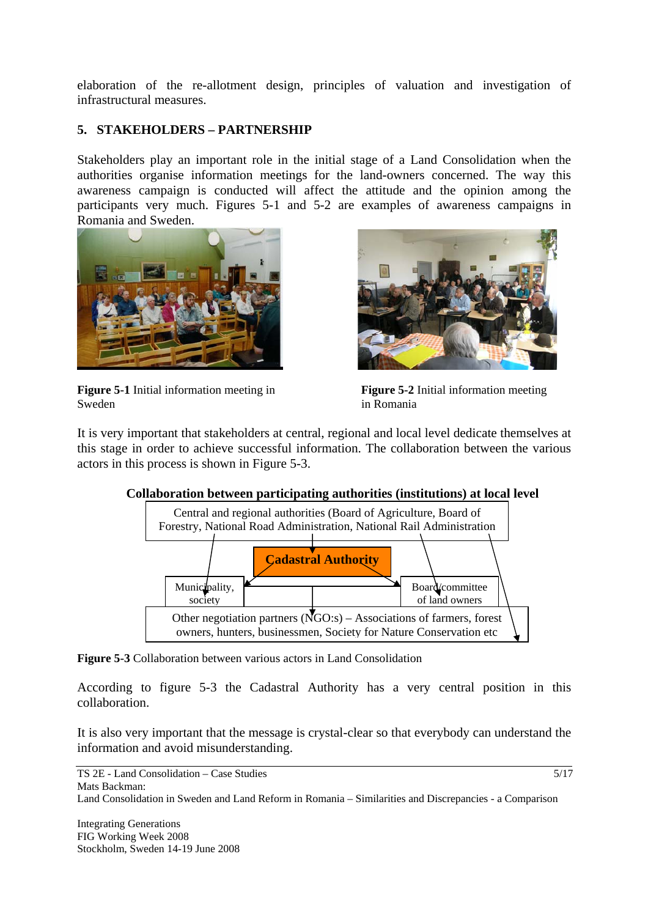elaboration of the re-allotment design, principles of valuation and investigation of infrastructural measures.

# **5. STAKEHOLDERS – PARTNERSHIP**

Stakeholders play an important role in the initial stage of a Land Consolidation when the authorities organise information meetings for the land-owners concerned. The way this awareness campaign is conducted will affect the attitude and the opinion among the participants very much. Figures 5-1 and 5-2 are examples of awareness campaigns in Romania and Sweden.



**Figure 5-1** Initial information meeting in **Figure 5-2** Initial information meeting Sweden in Romania



It is very important that stakeholders at central, regional and local level dedicate themselves at this stage in order to achieve successful information. The collaboration between the various actors in this process is shown in Figure 5-3.

 $\overline{1}$ 



 **Collaboration between participating authorities (institutions) at local level** 

**Figure 5-3** Collaboration between various actors in Land Consolidation

According to figure 5-3 the Cadastral Authority has a very central position in this collaboration.

It is also very important that the message is crystal-clear so that everybody can understand the information and avoid misunderstanding.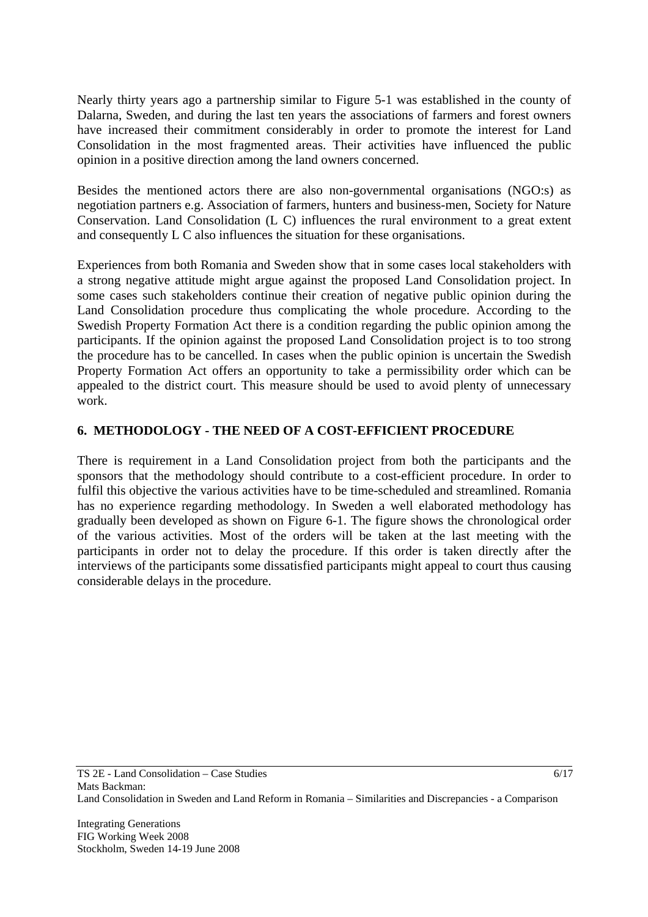Nearly thirty years ago a partnership similar to Figure 5-1 was established in the county of Dalarna, Sweden, and during the last ten years the associations of farmers and forest owners have increased their commitment considerably in order to promote the interest for Land Consolidation in the most fragmented areas. Their activities have influenced the public opinion in a positive direction among the land owners concerned.

Besides the mentioned actors there are also non-governmental organisations (NGO:s) as negotiation partners e.g. Association of farmers, hunters and business-men, Society for Nature Conservation. Land Consolidation (L C) influences the rural environment to a great extent and consequently L C also influences the situation for these organisations.

Experiences from both Romania and Sweden show that in some cases local stakeholders with a strong negative attitude might argue against the proposed Land Consolidation project. In some cases such stakeholders continue their creation of negative public opinion during the Land Consolidation procedure thus complicating the whole procedure. According to the Swedish Property Formation Act there is a condition regarding the public opinion among the participants. If the opinion against the proposed Land Consolidation project is to too strong the procedure has to be cancelled. In cases when the public opinion is uncertain the Swedish Property Formation Act offers an opportunity to take a permissibility order which can be appealed to the district court. This measure should be used to avoid plenty of unnecessary work.

# **6. METHODOLOGY - THE NEED OF A COST-EFFICIENT PROCEDURE**

There is requirement in a Land Consolidation project from both the participants and the sponsors that the methodology should contribute to a cost-efficient procedure. In order to fulfil this objective the various activities have to be time-scheduled and streamlined. Romania has no experience regarding methodology. In Sweden a well elaborated methodology has gradually been developed as shown on Figure 6-1. The figure shows the chronological order of the various activities. Most of the orders will be taken at the last meeting with the participants in order not to delay the procedure. If this order is taken directly after the interviews of the participants some dissatisfied participants might appeal to court thus causing considerable delays in the procedure.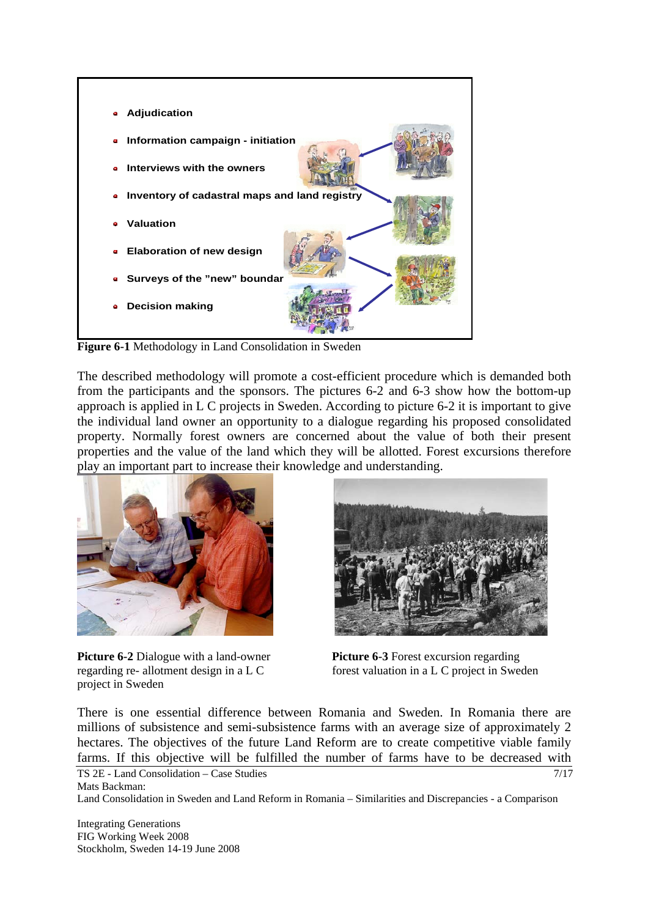

**Figure 6-1** Methodology in Land Consolidation in Sweden

The described methodology will promote a cost-efficient procedure which is demanded both from the participants and the sponsors. The pictures 6-2 and 6-3 show how the bottom-up approach is applied in L C projects in Sweden. According to picture 6-2 it is important to give the individual land owner an opportunity to a dialogue regarding his proposed consolidated property. Normally forest owners are concerned about the value of both their present properties and the value of the land which they will be allotted. Forest excursions therefore play an important part to increase their knowledge and understanding.



**Picture 6-2** Dialogue with a land-owner **Picture 6-3** Forest excursion regarding project in Sweden



regarding re- allotment design in a L C forest valuation in a L C project in Sweden

There is one essential difference between Romania and Sweden. In Romania there are millions of subsistence and semi-subsistence farms with an average size of approximately 2 hectares. The objectives of the future Land Reform are to create competitive viable family farms. If this objective will be fulfilled the number of farms have to be decreased with

```
TS 2E - Land Consolidation – Case Studies 
Mats Backman: 
Land Consolidation in Sweden and Land Reform in Romania – Similarities and Discrepancies - a Comparison 
                                                                                                        7/17
```
Integrating Generations FIG Working Week 2008 Stockholm, Sweden 14-19 June 2008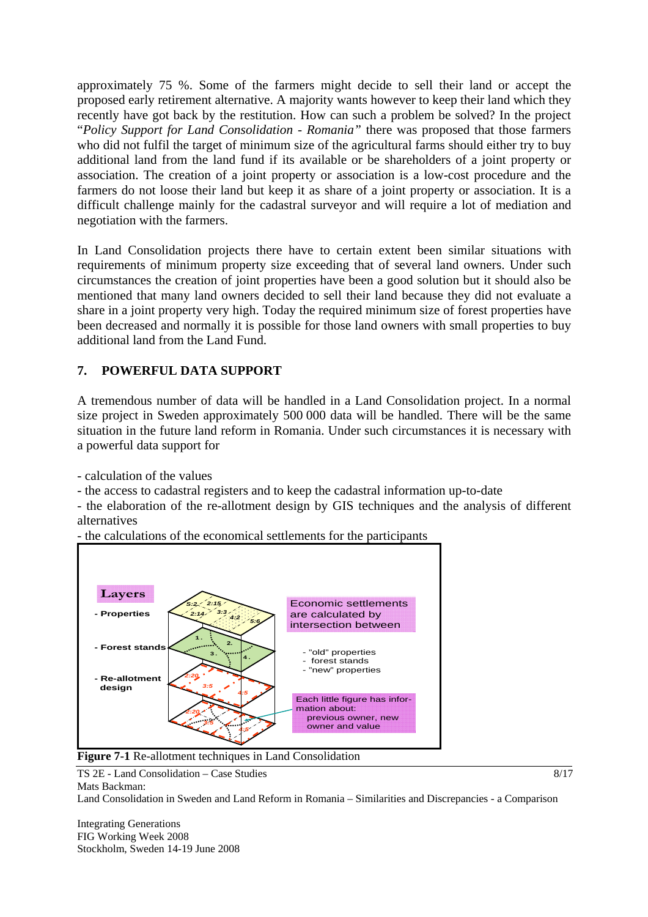approximately 75 %. Some of the farmers might decide to sell their land or accept the proposed early retirement alternative. A majority wants however to keep their land which they recently have got back by the restitution. How can such a problem be solved? In the project "*Policy Support for Land Consolidation - Romania"* there was proposed that those farmers who did not fulfil the target of minimum size of the agricultural farms should either try to buy additional land from the land fund if its available or be shareholders of a joint property or association. The creation of a joint property or association is a low-cost procedure and the farmers do not loose their land but keep it as share of a joint property or association. It is a difficult challenge mainly for the cadastral surveyor and will require a lot of mediation and negotiation with the farmers.

In Land Consolidation projects there have to certain extent been similar situations with requirements of minimum property size exceeding that of several land owners. Under such circumstances the creation of joint properties have been a good solution but it should also be mentioned that many land owners decided to sell their land because they did not evaluate a share in a joint property very high. Today the required minimum size of forest properties have been decreased and normally it is possible for those land owners with small properties to buy additional land from the Land Fund.

# **7. POWERFUL DATA SUPPORT**

A tremendous number of data will be handled in a Land Consolidation project. In a normal size project in Sweden approximately 500 000 data will be handled. There will be the same situation in the future land reform in Romania. Under such circumstances it is necessary with a powerful data support for

- calculation of the values

- the access to cadastral registers and to keep the cadastral information up-to-date

- the elaboration of the re-allotment design by GIS techniques and the analysis of different alternatives

- the calculations of the economical settlements for the participants





TS 2E - Land Consolidation – Case Studies Mats Backman:

Land Consolidation in Sweden and Land Reform in Romania – Similarities and Discrepancies - a Comparison

8/17

Integrating Generations FIG Working Week 2008 Stockholm, Sweden 14-19 June 2008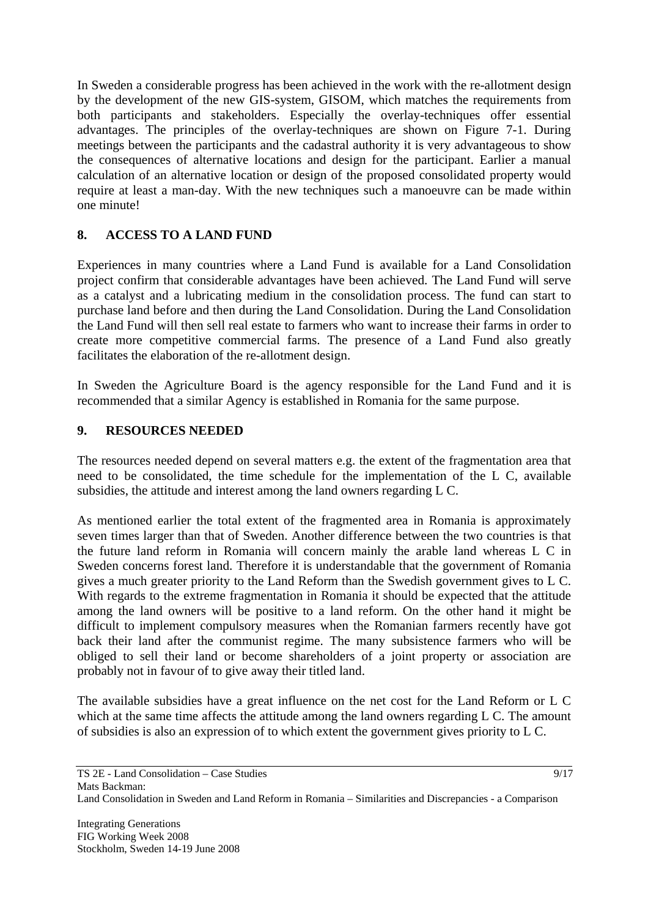In Sweden a considerable progress has been achieved in the work with the re-allotment design by the development of the new GIS-system, GISOM, which matches the requirements from both participants and stakeholders. Especially the overlay-techniques offer essential advantages. The principles of the overlay-techniques are shown on Figure 7-1. During meetings between the participants and the cadastral authority it is very advantageous to show the consequences of alternative locations and design for the participant. Earlier a manual calculation of an alternative location or design of the proposed consolidated property would require at least a man-day. With the new techniques such a manoeuvre can be made within one minute!

# **8. ACCESS TO A LAND FUND**

Experiences in many countries where a Land Fund is available for a Land Consolidation project confirm that considerable advantages have been achieved. The Land Fund will serve as a catalyst and a lubricating medium in the consolidation process. The fund can start to purchase land before and then during the Land Consolidation. During the Land Consolidation the Land Fund will then sell real estate to farmers who want to increase their farms in order to create more competitive commercial farms. The presence of a Land Fund also greatly facilitates the elaboration of the re-allotment design.

In Sweden the Agriculture Board is the agency responsible for the Land Fund and it is recommended that a similar Agency is established in Romania for the same purpose.

### **9. RESOURCES NEEDED**

The resources needed depend on several matters e.g. the extent of the fragmentation area that need to be consolidated, the time schedule for the implementation of the L C, available subsidies, the attitude and interest among the land owners regarding L C.

As mentioned earlier the total extent of the fragmented area in Romania is approximately seven times larger than that of Sweden. Another difference between the two countries is that the future land reform in Romania will concern mainly the arable land whereas L C in Sweden concerns forest land. Therefore it is understandable that the government of Romania gives a much greater priority to the Land Reform than the Swedish government gives to L C. With regards to the extreme fragmentation in Romania it should be expected that the attitude among the land owners will be positive to a land reform. On the other hand it might be difficult to implement compulsory measures when the Romanian farmers recently have got back their land after the communist regime. The many subsistence farmers who will be obliged to sell their land or become shareholders of a joint property or association are probably not in favour of to give away their titled land.

The available subsidies have a great influence on the net cost for the Land Reform or L C which at the same time affects the attitude among the land owners regarding L C. The amount of subsidies is also an expression of to which extent the government gives priority to L C.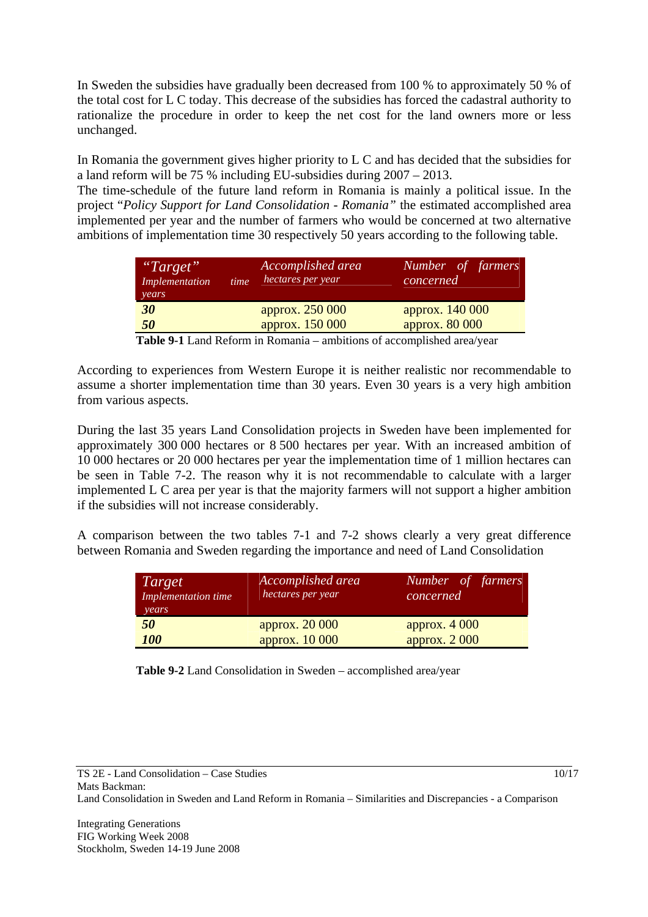In Sweden the subsidies have gradually been decreased from 100 % to approximately 50 % of the total cost for L C today. This decrease of the subsidies has forced the cadastral authority to rationalize the procedure in order to keep the net cost for the land owners more or less unchanged.

In Romania the government gives higher priority to L C and has decided that the subsidies for a land reform will be 75 % including EU-subsidies during 2007 – 2013.

The time-schedule of the future land reform in Romania is mainly a political issue. In the project "*Policy Support for Land Consolidation - Romania"* the estimated accomplished area implemented per year and the number of farmers who would be concerned at two alternative ambitions of implementation time 30 respectively 50 years according to the following table.

| "Target"<br><b>Implementation</b><br>time<br>years | Accomplished area<br>hectares per year | Number of farmers<br>concerned |
|----------------------------------------------------|----------------------------------------|--------------------------------|
| 30                                                 | approx. 250 000                        | approx. 140 000                |
| 50                                                 | approx. 150 000                        | approx. 80 000                 |

**Table 9-1** Land Reform in Romania – ambitions of accomplished area/year

According to experiences from Western Europe it is neither realistic nor recommendable to assume a shorter implementation time than 30 years. Even 30 years is a very high ambition from various aspects.

During the last 35 years Land Consolidation projects in Sweden have been implemented for approximately 300 000 hectares or 8 500 hectares per year. With an increased ambition of 10 000 hectares or 20 000 hectares per year the implementation time of 1 million hectares can be seen in Table 7-2. The reason why it is not recommendable to calculate with a larger implemented L C area per year is that the majority farmers will not support a higher ambition if the subsidies will not increase considerably.

A comparison between the two tables 7-1 and 7-2 shows clearly a very great difference between Romania and Sweden regarding the importance and need of Land Consolidation

| <i>Target</i><br>Implementation time<br>years | Accomplished area<br>hectares per year | Number of farmers<br>concerned |
|-----------------------------------------------|----------------------------------------|--------------------------------|
| 50                                            | approx. 20 000                         | approx. $4000$                 |
| <b>100</b>                                    | approx. 10 000                         | approx. $2000$                 |

**Table 9-2** Land Consolidation in Sweden – accomplished area/year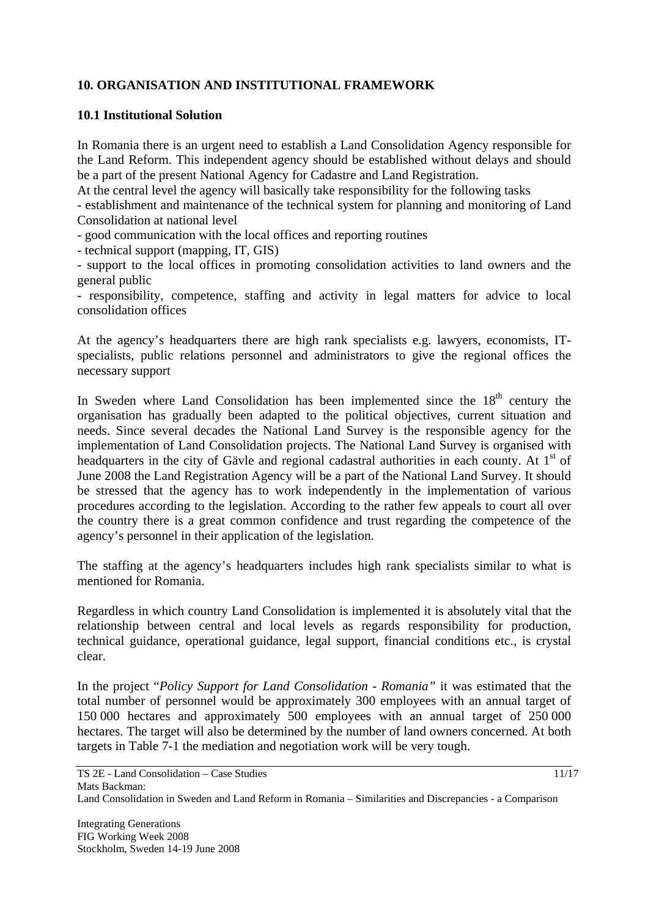# **10. ORGANISATION AND INSTITUTIONAL FRAMEWORK**

#### **10.1 Institutional Solution**

In Romania there is an urgent need to establish a Land Consolidation Agency responsible for the Land Reform. This independent agency should be established without delays and should be a part of the present National Agency for Cadastre and Land Registration.

At the central level the agency will basically take responsibility for the following tasks

- establishment and maintenance of the technical system for planning and monitoring of Land Consolidation at national level

- good communication with the local offices and reporting routines

- technical support (mapping, IT, GIS)

- support to the local offices in promoting consolidation activities to land owners and the general public

- responsibility, competence, staffing and activity in legal matters for advice to local consolidation offices

At the agency's headquarters there are high rank specialists e.g. lawyers, economists, ITspecialists, public relations personnel and administrators to give the regional offices the necessary support

In Sweden where Land Consolidation has been implemented since the  $18<sup>th</sup>$  century the organisation has gradually been adapted to the political objectives, current situation and needs. Since several decades the National Land Survey is the responsible agency for the implementation of Land Consolidation projects. The National Land Survey is organised with headquarters in the city of Gävle and regional cadastral authorities in each county. At  $1<sup>st</sup>$  of June 2008 the Land Registration Agency will be a part of the National Land Survey. It should be stressed that the agency has to work independently in the implementation of various procedures according to the legislation. According to the rather few appeals to court all over the country there is a great common confidence and trust regarding the competence of the agency's personnel in their application of the legislation.

The staffing at the agency's headquarters includes high rank specialists similar to what is mentioned for Romania.

Regardless in which country Land Consolidation is implemented it is absolutely vital that the relationship between central and local levels as regards responsibility for production, technical guidance, operational guidance, legal support, financial conditions etc., is crystal clear.

In the project "*Policy Support for Land Consolidation - Romania"* it was estimated that the total number of personnel would be approximately 300 employees with an annual target of 150 000 hectares and approximately 500 employees with an annual target of 250 000 hectares. The target will also be determined by the number of land owners concerned. At both targets in Table 7-1 the mediation and negotiation work will be very tough.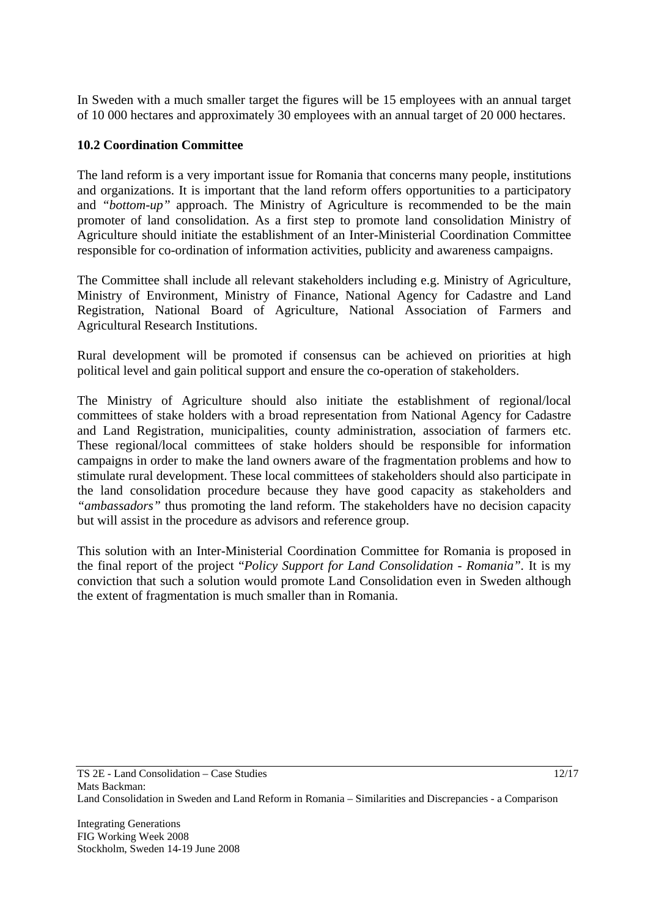In Sweden with a much smaller target the figures will be 15 employees with an annual target of 10 000 hectares and approximately 30 employees with an annual target of 20 000 hectares.

#### **10.2 Coordination Committee**

The land reform is a very important issue for Romania that concerns many people, institutions and organizations. It is important that the land reform offers opportunities to a participatory and *"bottom-up"* approach. The Ministry of Agriculture is recommended to be the main promoter of land consolidation. As a first step to promote land consolidation Ministry of Agriculture should initiate the establishment of an Inter-Ministerial Coordination Committee responsible for co-ordination of information activities, publicity and awareness campaigns.

The Committee shall include all relevant stakeholders including e.g. Ministry of Agriculture, Ministry of Environment, Ministry of Finance, National Agency for Cadastre and Land Registration, National Board of Agriculture, National Association of Farmers and Agricultural Research Institutions.

Rural development will be promoted if consensus can be achieved on priorities at high political level and gain political support and ensure the co-operation of stakeholders.

The Ministry of Agriculture should also initiate the establishment of regional/local committees of stake holders with a broad representation from National Agency for Cadastre and Land Registration, municipalities, county administration, association of farmers etc. These regional/local committees of stake holders should be responsible for information campaigns in order to make the land owners aware of the fragmentation problems and how to stimulate rural development. These local committees of stakeholders should also participate in the land consolidation procedure because they have good capacity as stakeholders and *"ambassadors"* thus promoting the land reform. The stakeholders have no decision capacity but will assist in the procedure as advisors and reference group.

This solution with an Inter-Ministerial Coordination Committee for Romania is proposed in the final report of the project "*Policy Support for Land Consolidation - Romania".* It is my conviction that such a solution would promote Land Consolidation even in Sweden although the extent of fragmentation is much smaller than in Romania.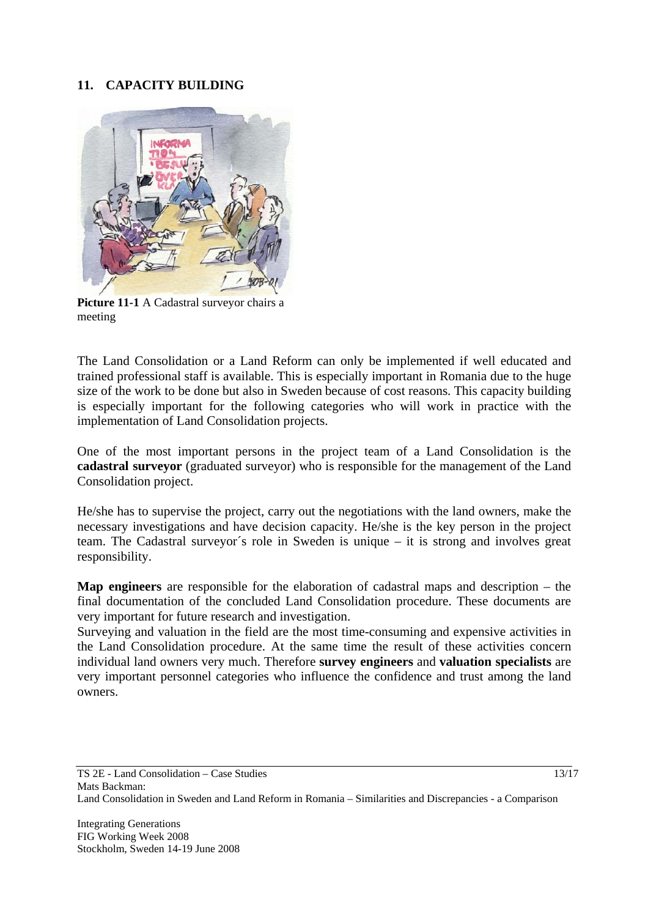## **11. CAPACITY BUILDING**



 **Picture 11-1** A Cadastral surveyor chairs a meeting

The Land Consolidation or a Land Reform can only be implemented if well educated and trained professional staff is available. This is especially important in Romania due to the huge size of the work to be done but also in Sweden because of cost reasons. This capacity building is especially important for the following categories who will work in practice with the implementation of Land Consolidation projects.

One of the most important persons in the project team of a Land Consolidation is the **cadastral surveyor** (graduated surveyor) who is responsible for the management of the Land Consolidation project.

He/she has to supervise the project, carry out the negotiations with the land owners, make the necessary investigations and have decision capacity. He/she is the key person in the project team. The Cadastral surveyor´s role in Sweden is unique – it is strong and involves great responsibility.

**Map engineers** are responsible for the elaboration of cadastral maps and description – the final documentation of the concluded Land Consolidation procedure. These documents are very important for future research and investigation.

Surveying and valuation in the field are the most time-consuming and expensive activities in the Land Consolidation procedure. At the same time the result of these activities concern individual land owners very much. Therefore **survey engineers** and **valuation specialists** are very important personnel categories who influence the confidence and trust among the land owners.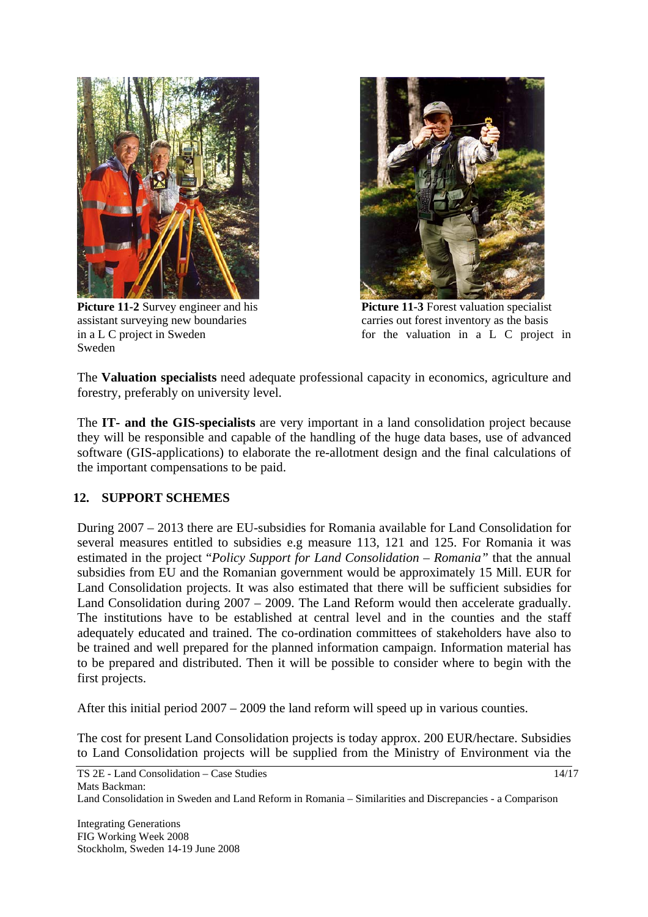

Sweden



**Picture 11-2** Survey engineer and his **Picture 11-3** Forest valuation specialist assistant surveying new boundaries carries out forest inventory as the basis in a L C project in Sweden for the valuation in a L C project in

The **Valuation specialists** need adequate professional capacity in economics, agriculture and forestry, preferably on university level.

The **IT- and the GIS-specialists** are very important in a land consolidation project because they will be responsible and capable of the handling of the huge data bases, use of advanced software (GIS-applications) to elaborate the re-allotment design and the final calculations of the important compensations to be paid.

# **12. SUPPORT SCHEMES**

During 2007 – 2013 there are EU-subsidies for Romania available for Land Consolidation for several measures entitled to subsidies e.g measure 113, 121 and 125. For Romania it was estimated in the project "*Policy Support for Land Consolidation – Romania"* that the annual subsidies from EU and the Romanian government would be approximately 15 Mill. EUR for Land Consolidation projects. It was also estimated that there will be sufficient subsidies for Land Consolidation during 2007 – 2009. The Land Reform would then accelerate gradually. The institutions have to be established at central level and in the counties and the staff adequately educated and trained. The co-ordination committees of stakeholders have also to be trained and well prepared for the planned information campaign. Information material has to be prepared and distributed. Then it will be possible to consider where to begin with the first projects.

After this initial period 2007 – 2009 the land reform will speed up in various counties.

The cost for present Land Consolidation projects is today approx. 200 EUR/hectare. Subsidies to Land Consolidation projects will be supplied from the Ministry of Environment via the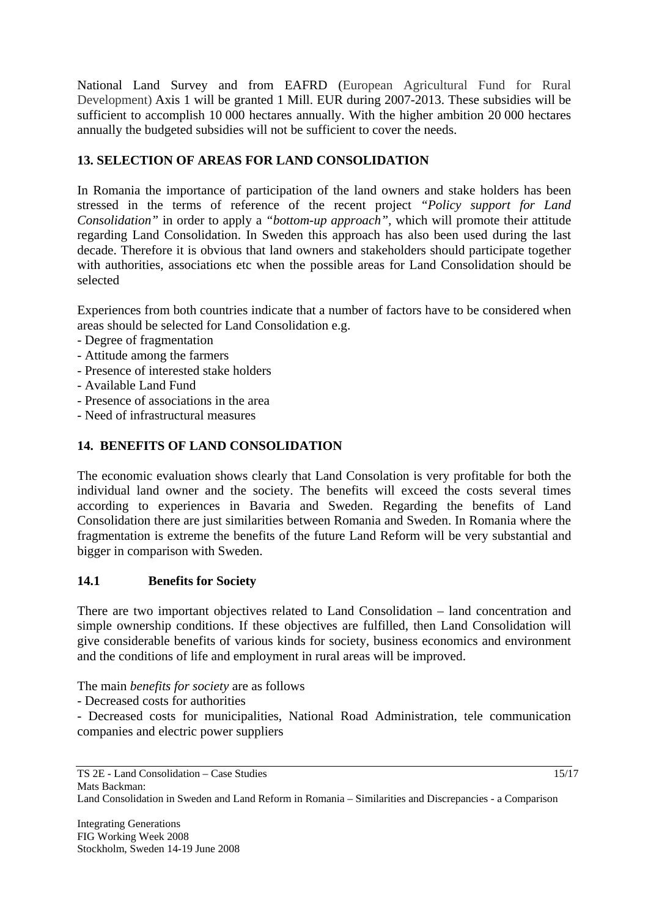National Land Survey and from EAFRD (European Agricultural Fund for Rural Development) Axis 1 will be granted 1 Mill. EUR during 2007-2013. These subsidies will be sufficient to accomplish 10 000 hectares annually. With the higher ambition 20 000 hectares annually the budgeted subsidies will not be sufficient to cover the needs.

# **13. SELECTION OF AREAS FOR LAND CONSOLIDATION**

In Romania the importance of participation of the land owners and stake holders has been stressed in the terms of reference of the recent project *"Policy support for Land Consolidation"* in order to apply a *"bottom-up approach",* which will promote their attitude regarding Land Consolidation. In Sweden this approach has also been used during the last decade. Therefore it is obvious that land owners and stakeholders should participate together with authorities, associations etc when the possible areas for Land Consolidation should be selected

Experiences from both countries indicate that a number of factors have to be considered when areas should be selected for Land Consolidation e.g.

- Degree of fragmentation
- Attitude among the farmers
- Presence of interested stake holders
- Available Land Fund
- Presence of associations in the area
- Need of infrastructural measures

# **14. BENEFITS OF LAND CONSOLIDATION**

The economic evaluation shows clearly that Land Consolation is very profitable for both the individual land owner and the society. The benefits will exceed the costs several times according to experiences in Bavaria and Sweden. Regarding the benefits of Land Consolidation there are just similarities between Romania and Sweden. In Romania where the fragmentation is extreme the benefits of the future Land Reform will be very substantial and bigger in comparison with Sweden.

### **14.1 Benefits for Society**

There are two important objectives related to Land Consolidation – land concentration and simple ownership conditions. If these objectives are fulfilled, then Land Consolidation will give considerable benefits of various kinds for society, business economics and environment and the conditions of life and employment in rural areas will be improved.

The main *benefits for society* are as follows

- Decreased costs for authorities

- Decreased costs for municipalities, National Road Administration, tele communication companies and electric power suppliers

15/17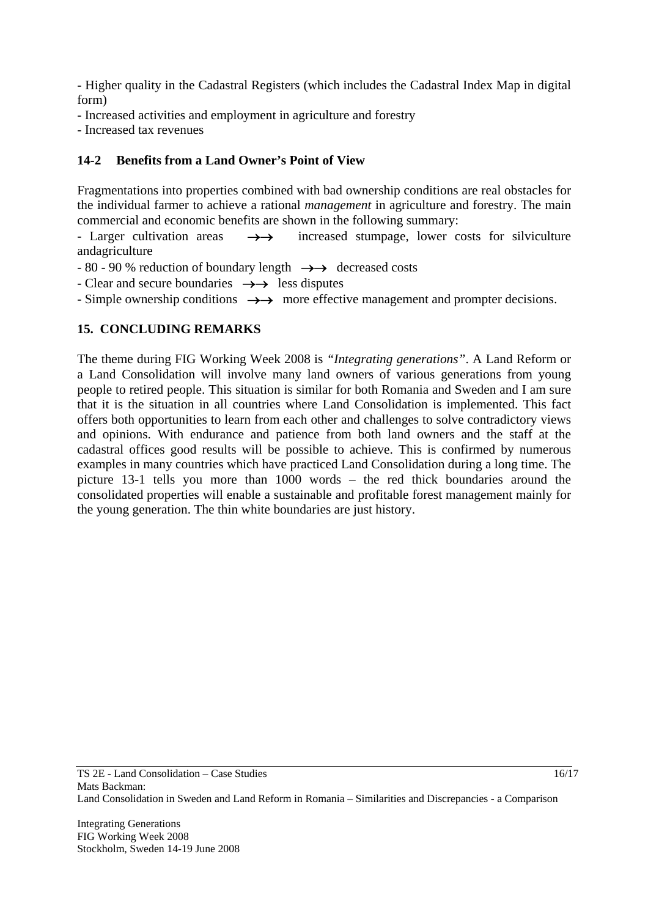- Higher quality in the Cadastral Registers (which includes the Cadastral Index Map in digital form)

- Increased activities and employment in agriculture and forestry
- Increased tax revenues

### **14-2 Benefits from a Land Owner's Point of View**

Fragmentations into properties combined with bad ownership conditions are real obstacles for the individual farmer to achieve a rational *management* in agriculture and forestry. The main commercial and economic benefits are shown in the following summary:

- Larger cultivation areas →→increased stumpage, lower costs for silviculture andagriculture

- 80 - 90 % reduction of boundary length →→ decreased costs

- Clear and secure boundaries →→less disputes

- Simple ownership conditions →→more effective management and prompter decisions.

### **15. CONCLUDING REMARKS**

The theme during FIG Working Week 2008 is *"Integrating generations"*. A Land Reform or a Land Consolidation will involve many land owners of various generations from young people to retired people. This situation is similar for both Romania and Sweden and I am sure that it is the situation in all countries where Land Consolidation is implemented. This fact offers both opportunities to learn from each other and challenges to solve contradictory views and opinions. With endurance and patience from both land owners and the staff at the cadastral offices good results will be possible to achieve. This is confirmed by numerous examples in many countries which have practiced Land Consolidation during a long time. The picture 13-1 tells you more than 1000 words – the red thick boundaries around the consolidated properties will enable a sustainable and profitable forest management mainly for the young generation. The thin white boundaries are just history.